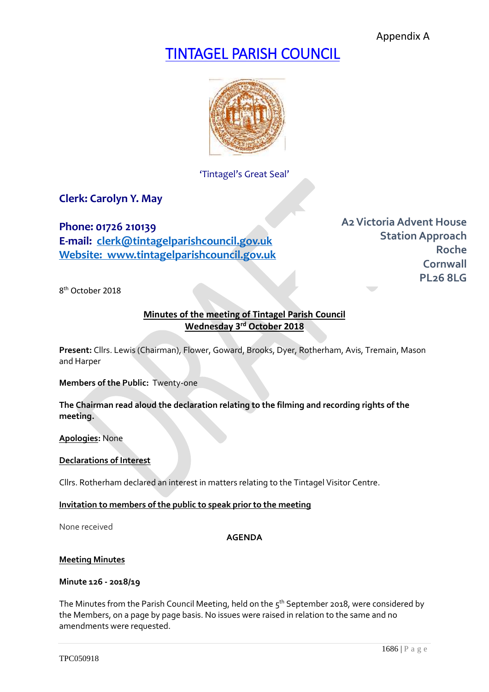Appendix A

# TINTAGEL PARISH COUNCIL



'Tintagel's Great Seal'

**Clerk: Carolyn Y. May**

**Phone: 01726 210139 E-mail: [clerk@tintagelparishcouncil.gov.uk](mailto:clerk@tintagelparishcouncil.gov.uk) Website: www.tintagelparishcouncil.gov.uk** **A2Victoria Advent House Station Approach Roche Cornwall PL26 8LG**

8 th October 2018

# **Minutes of the meeting of Tintagel Parish Council Wednesday 3 rd October 2018**

**Present:** Cllrs. Lewis (Chairman), Flower, Goward, Brooks, Dyer, Rotherham, Avis, Tremain, Mason and Harper

**Members of the Public:** Twenty-one

**The Chairman read aloud the declaration relating to the filming and recording rights of the meeting.**

**Apologies:** None

#### **Declarations of Interest**

Cllrs. Rotherham declared an interest in matters relating to the Tintagel Visitor Centre.

**Invitation to members of the public to speak prior to the meeting**

None received

**AGENDA**

#### **Meeting Minutes**

#### **Minute 126 - 2018/19**

The Minutes from the Parish Council Meeting, held on the  $5^{th}$  September 2018, were considered by the Members, on a page by page basis. No issues were raised in relation to the same and no amendments were requested.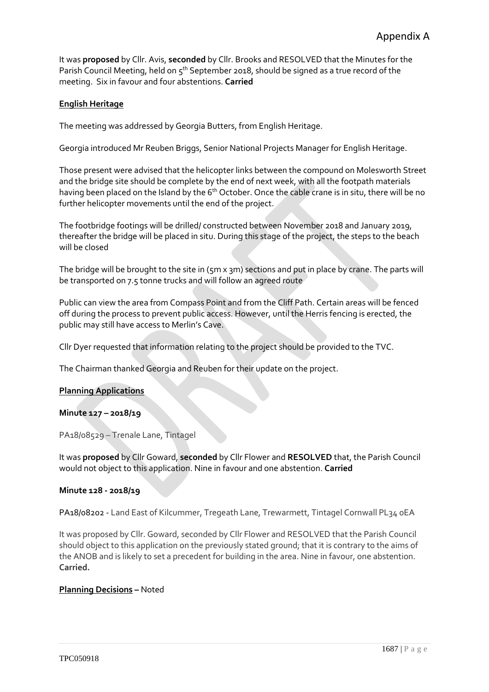It was **proposed** by Cllr. Avis, **seconded** by Cllr. Brooks and RESOLVED that the Minutes for the Parish Council Meeting, held on 5<sup>th</sup> September 2018, should be signed as a true record of the meeting. Six in favour and four abstentions. **Carried**

# **English Heritage**

The meeting was addressed by Georgia Butters, from English Heritage.

Georgia introduced Mr Reuben Briggs, Senior National Projects Manager for English Heritage.

Those present were advised that the helicopter links between the compound on Molesworth Street and the bridge site should be complete by the end of next week, with all the footpath materials having been placed on the Island by the 6<sup>th</sup> October. Once the cable crane is in situ, there will be no further helicopter movements until the end of the project.

The footbridge footings will be drilled/ constructed between November 2018 and January 2019, thereafter the bridge will be placed in situ. During this stage of the project, the steps to the beach will be closed

The bridge will be brought to the site in ( $\pi$ m x 3m) sections and put in place by crane. The parts will be transported on 7.5 tonne trucks and will follow an agreed route

Public can view the area from Compass Point and from the Cliff Path. Certain areas will be fenced off during the process to prevent public access. However, until the Herris fencing is erected, the public may still have access to Merlin's Cave.

Cllr Dyer requested that information relating to the project should be provided to the TVC.

The Chairman thanked Georgia and Reuben for their update on the project.

# **Planning Applications**

# **Minute 127 – 2018/19**

PA18/08529 – Trenale Lane, Tintagel

It was **proposed** by Cllr Goward, **seconded** by Cllr Flower and **RESOLVED** that, the Parish Council would not object to this application. Nine in favour and one abstention. **Carried**

# **Minute 128 - 2018/19**

PA18/08202 - Land East of Kilcummer, Tregeath Lane, Trewarmett, Tintagel Cornwall PL34 oEA

It was proposed by Cllr. Goward, seconded by Cllr Flower and RESOLVED that the Parish Council should object to this application on the previously stated ground; that it is contrary to the aims of the ANOB and is likely to set a precedent for building in the area. Nine in favour, one abstention. **Carried.**

# **Planning Decisions –** Noted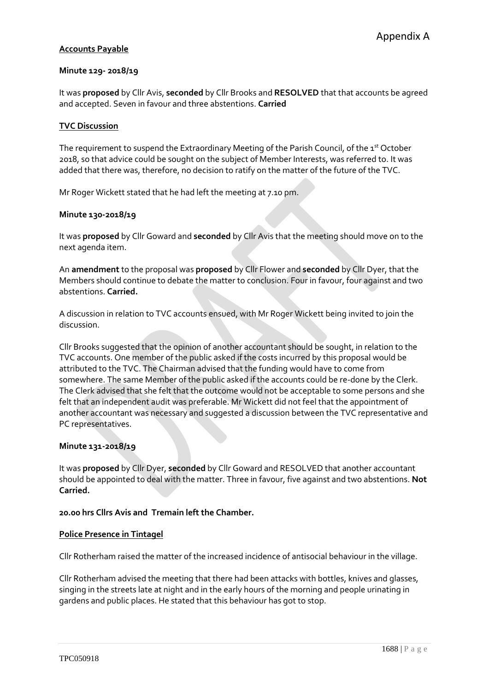# **Accounts Payable**

#### **Minute 129- 2018/19**

It was **proposed** by Cllr Avis, **seconded** by Cllr Brooks and **RESOLVED** that that accounts be agreed and accepted. Seven in favour and three abstentions. **Carried**

#### **TVC Discussion**

The requirement to suspend the Extraordinary Meeting of the Parish Council, of the 1st October 2018, so that advice could be sought on the subject of Member Interests, was referred to. It was added that there was, therefore, no decision to ratify on the matter of the future of the TVC.

Mr Roger Wickett stated that he had left the meeting at 7.10 pm.

#### **Minute 130-2018/19**

It was **proposed** by Cllr Goward and **seconded** by Cllr Avis that the meeting should move on to the next agenda item.

An **amendment** to the proposal was **proposed** by Cllr Flower and **seconded** by Cllr Dyer, that the Members should continue to debate the matter to conclusion. Four in favour, four against and two abstentions. **Carried.**

A discussion in relation to TVC accounts ensued, with Mr Roger Wickett being invited to join the discussion.

Cllr Brooks suggested that the opinion of another accountant should be sought, in relation to the TVC accounts. One member of the public asked if the costs incurred by this proposal would be attributed to the TVC. The Chairman advised that the funding would have to come from somewhere. The same Member of the public asked if the accounts could be re-done by the Clerk. The Clerk advised that she felt that the outcome would not be acceptable to some persons and she felt that an independent audit was preferable. Mr Wickett did not feel that the appointment of another accountant was necessary and suggested a discussion between the TVC representative and PC representatives.

#### **Minute 131-2018/19**

It was **proposed** by Cllr Dyer, **seconded** by Cllr Goward and RESOLVED that another accountant should be appointed to deal with the matter. Three in favour, five against and two abstentions. **Not Carried.**

# **20.00 hrs Cllrs Avis and Tremain left the Chamber.**

#### **Police Presence in Tintagel**

Cllr Rotherham raised the matter of the increased incidence of antisocial behaviour in the village.

Cllr Rotherham advised the meeting that there had been attacks with bottles, knives and glasses, singing in the streets late at night and in the early hours of the morning and people urinating in gardens and public places. He stated that this behaviour has got to stop.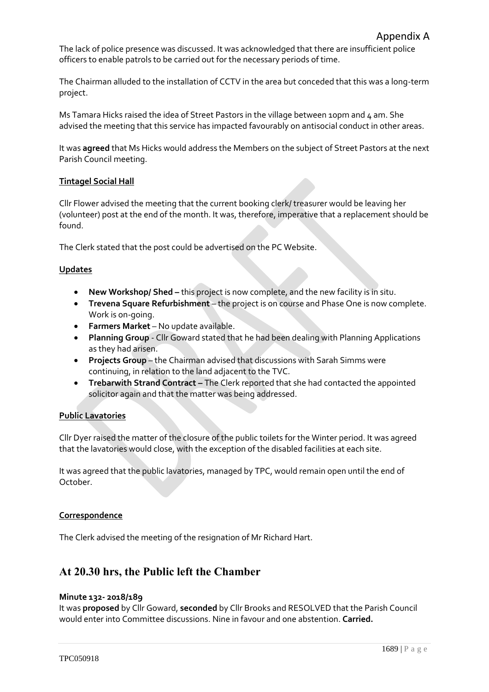The lack of police presence was discussed. It was acknowledged that there are insufficient police officers to enable patrols to be carried out for the necessary periods of time.

The Chairman alluded to the installation of CCTV in the area but conceded that this was a long-term project.

Ms Tamara Hicks raised the idea of Street Pastors in the village between 10pm and  $\mu$  am. She advised the meeting that this service has impacted favourably on antisocial conduct in other areas.

It was **agreed** that Ms Hicks would address the Members on the subject of Street Pastors at the next Parish Council meeting.

#### **Tintagel Social Hall**

Cllr Flower advised the meeting that the current booking clerk/ treasurer would be leaving her (volunteer) post at the end of the month. It was, therefore, imperative that a replacement should be found.

The Clerk stated that the post could be advertised on the PC Website.

#### **Updates**

- New Workshop/ Shed this project is now complete, and the new facility is in situ.
- **Trevena Square Refurbishment** the project is on course and Phase One is now complete. Work is on-going.
- **Farmers Market** No update available.
- **Planning Group**  Cllr Goward stated that he had been dealing with Planning Applications as they had arisen.
- **Projects Group** the Chairman advised that discussions with Sarah Simms were continuing, in relation to the land adjacent to the TVC.
- **Trebarwith Strand Contract The Clerk reported that she had contacted the appointed** solicitor again and that the matter was being addressed.

# **Public Lavatories**

Cllr Dyer raised the matter of the closure of the public toilets for the Winter period. It was agreed that the lavatories would close, with the exception of the disabled facilities at each site.

It was agreed that the public lavatories, managed by TPC, would remain open until the end of October.

#### **Correspondence**

The Clerk advised the meeting of the resignation of Mr Richard Hart.

# **At 20.30 hrs, the Public left the Chamber**

#### **Minute 132- 2018/189**

It was **proposed** by Cllr Goward, **seconded** by Cllr Brooks and RESOLVED that the Parish Council would enter into Committee discussions. Nine in favour and one abstention. **Carried.**